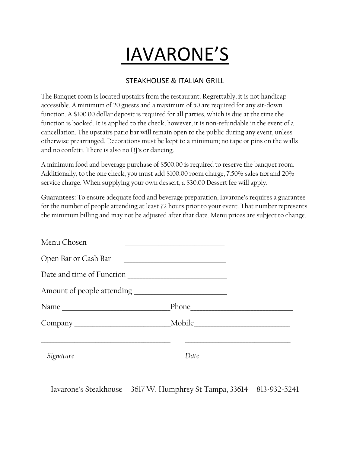# IAVARONE'S

#### STEAKHOUSE & ITALIAN GRILL

The Banquet room is located upstairs from the restaurant. Regrettably, it is not handicap accessible. A minimum of 20 guests and a maximum of 50 are required for any sit-down function. A \$100.00 dollar deposit is required for all parties, which is due at the time the function is booked. It is applied to the check; however, it is non-refundable in the event of a cancellation. The upstairs patio bar will remain open to the public during any event, unless otherwise prearranged. Decorations must be kept to a minimum; no tape or pins on the walls and no confetti. There is also no DJ's or dancing.

A minimum food and beverage purchase of \$500.00 is required to reserve the banquet room. Additionally, to the one check, you must add \$100.00 room charge, 7.50% sales tax and 20% service charge. When supplying your own dessert, a \$30.00 Dessert fee will apply.

**Guarantees:** To ensure adequate food and beverage preparation, Iavarone's requires a guarantee for the number of people attending at least 72 hours prior to your event. That number represents the minimum billing and may not be adjusted after that date. Menu prices are subject to change.

| <u> 1980 - Jan Barat, margaret eta biztanleria (h. 1980).</u> |
|---------------------------------------------------------------|
| Date and time of Function                                     |
|                                                               |
|                                                               |
|                                                               |
| Date                                                          |
|                                                               |

Iavarone's Steakhouse 3617 W. Humphrey St Tampa, 33614 813-932-5241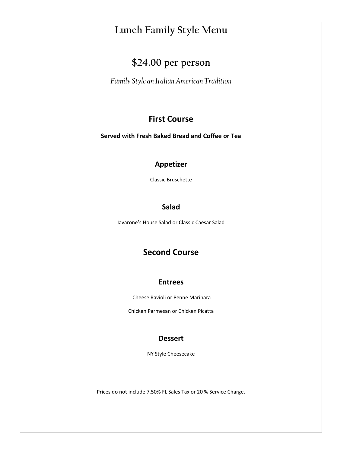# **Lunch Family Style Menu**

# **\$24.00 per person**

*Family Style an Italian American Tradition*

### **First Course**

**Served with Fresh Baked Bread and Coffee or Tea**

#### **Appetizer**

Classic Bruschette

#### **Salad**

Iavarone's House Salad or Classic Caesar Salad

## **Second Course**

#### **Entrees**

Cheese Ravioli or Penne Marinara

Chicken Parmesan or Chicken Picatta

#### **Dessert**

NY Style Cheesecake

Prices do not include 7.50% FL Sales Tax or 20 % Service Charge.